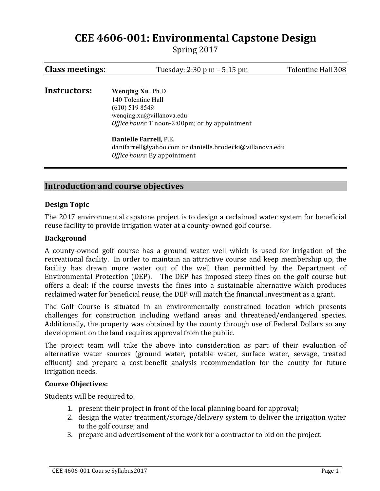# **CEE 4606-001: Environmental Capstone Design**

Spring 2017

| <b>Class meetings:</b> | Tuesday: 2:30 p m – 5:15 pm                                                                                                                          | Tolentine Hall 308 |
|------------------------|------------------------------------------------------------------------------------------------------------------------------------------------------|--------------------|
| Instructors:           | Wenging Xu, Ph.D.<br>140 Tolentine Hall<br>$(610)$ 519 8549<br>wenqing.xu $@$ villanova.edu<br><i>Office hours:</i> T noon-2:00pm; or by appointment |                    |
|                        | Danielle Farrell, P.E.<br>danifarrell@yahoo.com or danielle.brodecki@villanova.edu<br><i>Office hours:</i> By appointment                            |                    |

# **Introduction and course objectives**

#### **Design Topic**

The 2017 environmental capstone project is to design a reclaimed water system for beneficial reuse facility to provide irrigation water at a county-owned golf course.

#### **Background**

A county-owned golf course has a ground water well which is used for irrigation of the recreational facility. In order to maintain an attractive course and keep membership up, the facility has drawn more water out of the well than permitted by the Department of Environmental Protection (DEP). The DEP has imposed steep fines on the golf course but offers a deal: if the course invests the fines into a sustainable alternative which produces reclaimed water for beneficial reuse, the DEP will match the financial investment as a grant.

The Golf Course is situated in an environmentally constrained location which presents challenges for construction including wetland areas and threatened/endangered species. Additionally, the property was obtained by the county through use of Federal Dollars so any development on the land requires approval from the public.

The project team will take the above into consideration as part of their evaluation of alternative water sources (ground water, potable water, surface water, sewage, treated effluent) and prepare a cost-benefit analysis recommendation for the county for future irrigation needs.

#### **Course#Objectives:**

Students will be required to:

- 1. present their project in front of the local planning board for approval;
- 2. design the water treatment/storage/delivery system to deliver the irrigation water to the golf course; and
- 3. prepare and advertisement of the work for a contractor to bid on the project.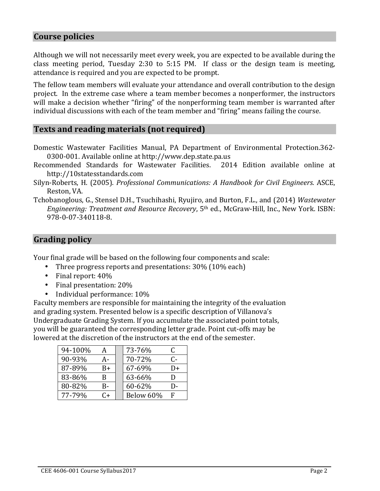## **Course policies**

Although we will not necessarily meet every week, you are expected to be available during the class meeting period, Tuesday 2:30 to 5:15 PM. If class or the design team is meeting, attendance is required and you are expected to be prompt.

The fellow team members will evaluate your attendance and overall contribution to the design project. In the extreme case where a team member becomes a nonperformer, the instructors will make a decision whether "firing" of the nonperforming team member is warranted after individual discussions with each of the team member and "firing" means failing the course.

# **Texts and reading materials (not required)**

- Domestic Wastewater Facilities Manual, PA Department of Environmental Protection.362-0300-001. Available online at http://www.dep.state.pa.us
- Recommended Standards for Wastewater Facilities. 2014 Edition available online at http://10statesstandards.com
- Silyn-Roberts, H. (2005). *Professional Communications: A Handbook for Civil Engineers*. ASCE, Reston, VA.
- Tchobanoglous, G., Stensel D.H., Tsuchihashi, Ryujiro, and Burton, F.L., and (2014) *Wastewater Engineering: Treatment and Resource Recovery*, 5<sup>th</sup> ed., McGraw-Hill, Inc., New York. ISBN: 978-0-07-340118-8.

# **Grading#policy**

Your final grade will be based on the following four components and scale:

- Three progress reports and presentations:  $30\%$  (10% each)
- Final report:  $40\%$
- Final presentation:  $20%$
- Individual performance:  $10\%$

Faculty members are responsible for maintaining the integrity of the evaluation and grading system. Presented below is a specific description of Villanova's Undergraduate Grading System. If you accumulate the associated point totals, you will be guaranteed the corresponding letter grade. Point cut-offs may be lowered at the discretion of the instructors at the end of the semester.

| 94-100% | А    | 73-76%    | C  |
|---------|------|-----------|----|
| 90-93%  | А-   | 70-72%    | C- |
| 87-89%  | $B+$ | 67-69%    | D+ |
| 83-86%  | B    | 63-66%    | וו |
| 80-82%  | B-   | 60-62%    |    |
| 77-79%  | C+   | Below 60% | F  |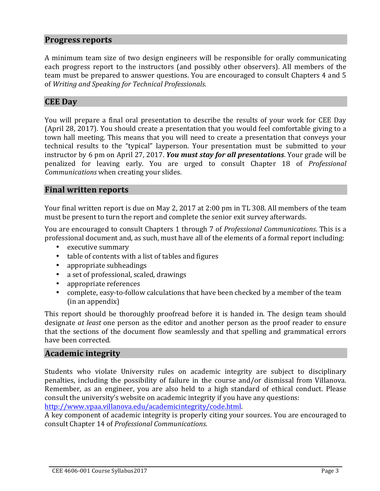#### **Progress reports**

A minimum team size of two design engineers will be responsible for orally communicating each progress report to the instructors (and possibly other observers). All members of the team must be prepared to answer questions. You are encouraged to consult Chapters 4 and 5 of *Writing and Speaking for Technical Professionals.* 

### **CEE Day**

You will prepare a final oral presentation to describe the results of vour work for CEE Day (April 28, 2017). You should create a presentation that you would feel comfortable giving to a town hall meeting. This means that you will need to create a presentation that conveys your technical results to the "typical" layperson. Your presentation must be submitted to your instructor by 6 pm on April 27, 2017. *You must stay for all presentations*. Your grade will be penalized for leaving early. You are urged to consult Chapter 18 of *Professional Communications* when creating your slides.

#### **Final written reports**

Your final written report is due on May 2, 2017 at 2:00 pm in TL 308. All members of the team must be present to turn the report and complete the senior exit survey afterwards.

You are encouraged to consult Chapters 1 through 7 of *Professional Communications*. This is a professional document and, as such, must have all of the elements of a formal report including:

- executive summary
- table of contents with a list of tables and figures
- appropriate subheadings
- a set of professional, scaled, drawings
- appropriate references
- complete, easy-to-follow calculations that have been checked by a member of the team  $(in an appendix)$

This report should be thoroughly proofread before it is handed in. The design team should designate *at least* one person as the editor and another person as the proof reader to ensure that the sections of the document flow seamlessly and that spelling and grammatical errors have been corrected.

## **Academic#integrity**

Students who violate University rules on academic integrity are subject to disciplinary penalties, including the possibility of failure in the course and/or dismissal from Villanova. Remember, as an engineer, you are also held to a high standard of ethical conduct. Please consult the university's website on academic integrity if you have any questions:

http://www.vpaa.villanova.edu/academicintegrity/code.html.

A key component of academic integrity is properly citing your sources. You are encouraged to consult#Chapter#14#of#*Professional!Communications*.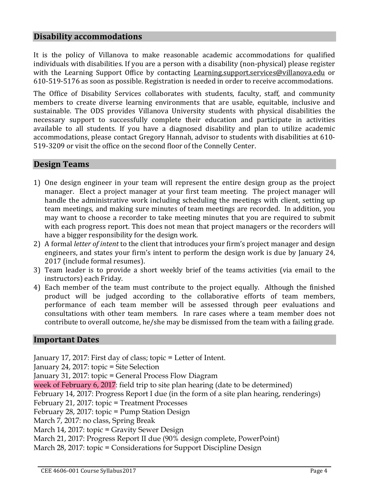## **Disability#accommodations**

It is the policy of Villanova to make reasonable academic accommodations for qualified individuals with disabilities. If you are a person with a disability (non-physical) please register with the Learning Support Office by contacting Learning.support.services@villanova.edu or 610-519-5176 as soon as possible. Registration is needed in order to receive accommodations.

The Office of Disability Services collaborates with students, faculty, staff, and community members to create diverse learning environments that are usable, equitable, inclusive and sustainable. The ODS provides Villanova University students with physical disabilities the necessary support to successfully complete their education and participate in activities available to all students. If you have a diagnosed disability and plan to utilize academic accommodations, please contact Gregory Hannah, advisor to students with disabilities at 610-519-3209 or visit the office on the second floor of the Connelly Center.

# **Design#Teams**

- 1) One design engineer in your team will represent the entire design group as the project manager. Elect a project manager at your first team meeting. The project manager will handle the administrative work including scheduling the meetings with client, setting up team meetings, and making sure minutes of team meetings are recorded. In addition, you may want to choose a recorder to take meeting minutes that you are required to submit with each progress report. This does not mean that project managers or the recorders will have a bigger responsibility for the design work.
- 2) A formal *letter of intent* to the client that introduces your firm's project manager and design engineers, and states your firm's intent to perform the design work is due by January 24, 2017 (include formal resumes).
- 3) Team leader is to provide a short weekly brief of the teams activities (via email to the instructors) each Friday.
- 4) Each member of the team must contribute to the project equally. Although the finished product will be judged according to the collaborative efforts of team members, performance of each team member will be assessed through peer evaluations and consultations with other team members. In rare cases where a team member does not contribute to overall outcome, he/she may be dismissed from the team with a failing grade.

## **Important#Dates**

January 17, 2017: First day of class; topic = Letter of Intent. January 24, 2017: topic = Site Selection January 31, 2017: topic = General Process Flow Diagram week of February 6, 2017: field trip to site plan hearing (date to be determined) February 14, 2017: Progress Report I due (in the form of a site plan hearing, renderings) February 21, 2017: topic = Treatment Processes February 28, 2017: topic = Pump Station Design March 7, 2017: no class, Spring Break March 14, 2017: topic = Gravity Sewer Design March 21, 2017: Progress Report II due (90% design complete, PowerPoint) March 28, 2017: topic = Considerations for Support Discipline Design